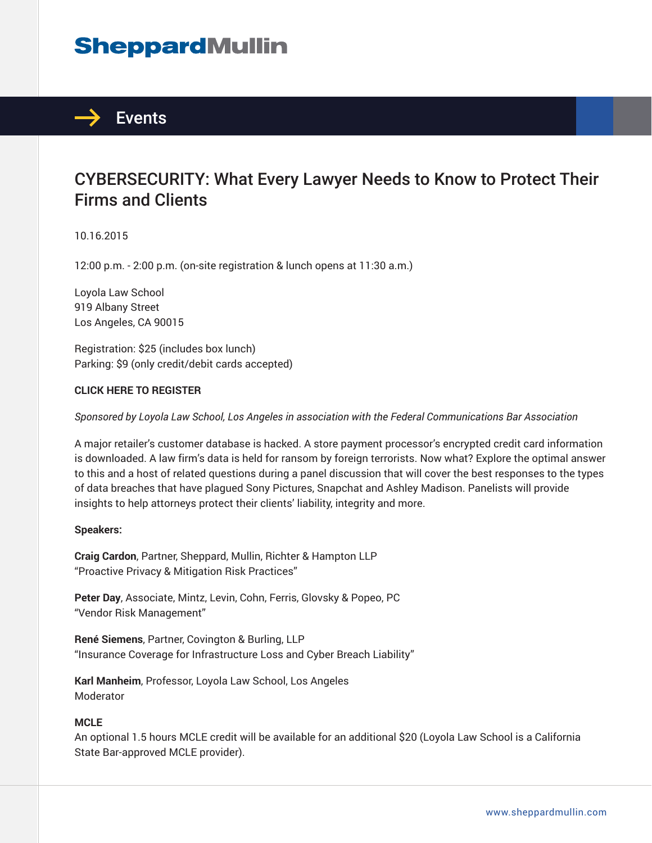# **SheppardMullin**



## CYBERSECURITY: What Every Lawyer Needs to Know to Protect Their Firms and Clients

10.16.2015

12:00 p.m. - 2:00 p.m. (on-site registration & lunch opens at 11:30 a.m.)

Loyola Law School 919 Albany Street Los Angeles, CA 90015

Registration: \$25 (includes box lunch) Parking: \$9 (only credit/debit cards accepted)

#### **CLICK HERE TO REGISTER**

*Sponsored by Loyola Law School, Los Angeles in association with the Federal Communications Bar Association*

A major retailer's customer database is hacked. A store payment processor's encrypted credit card information is downloaded. A law firm's data is held for ransom by foreign terrorists. Now what? Explore the optimal answer to this and a host of related questions during a panel discussion that will cover the best responses to the types of data breaches that have plagued Sony Pictures, Snapchat and Ashley Madison. Panelists will provide insights to help attorneys protect their clients' liability, integrity and more.

#### **Speakers:**

**Craig Cardon**, Partner, Sheppard, Mullin, Richter & Hampton LLP "Proactive Privacy & Mitigation Risk Practices"

**Peter Day**, Associate, Mintz, Levin, Cohn, Ferris, Glovsky & Popeo, PC "Vendor Risk Management"

**René Siemens**, Partner, Covington & Burling, LLP "Insurance Coverage for Infrastructure Loss and Cyber Breach Liability"

**Karl Manheim**, Professor, Loyola Law School, Los Angeles Moderator

#### **MCLE**

An optional 1.5 hours MCLE credit will be available for an additional \$20 (Loyola Law School is a California State Bar-approved MCLE provider).